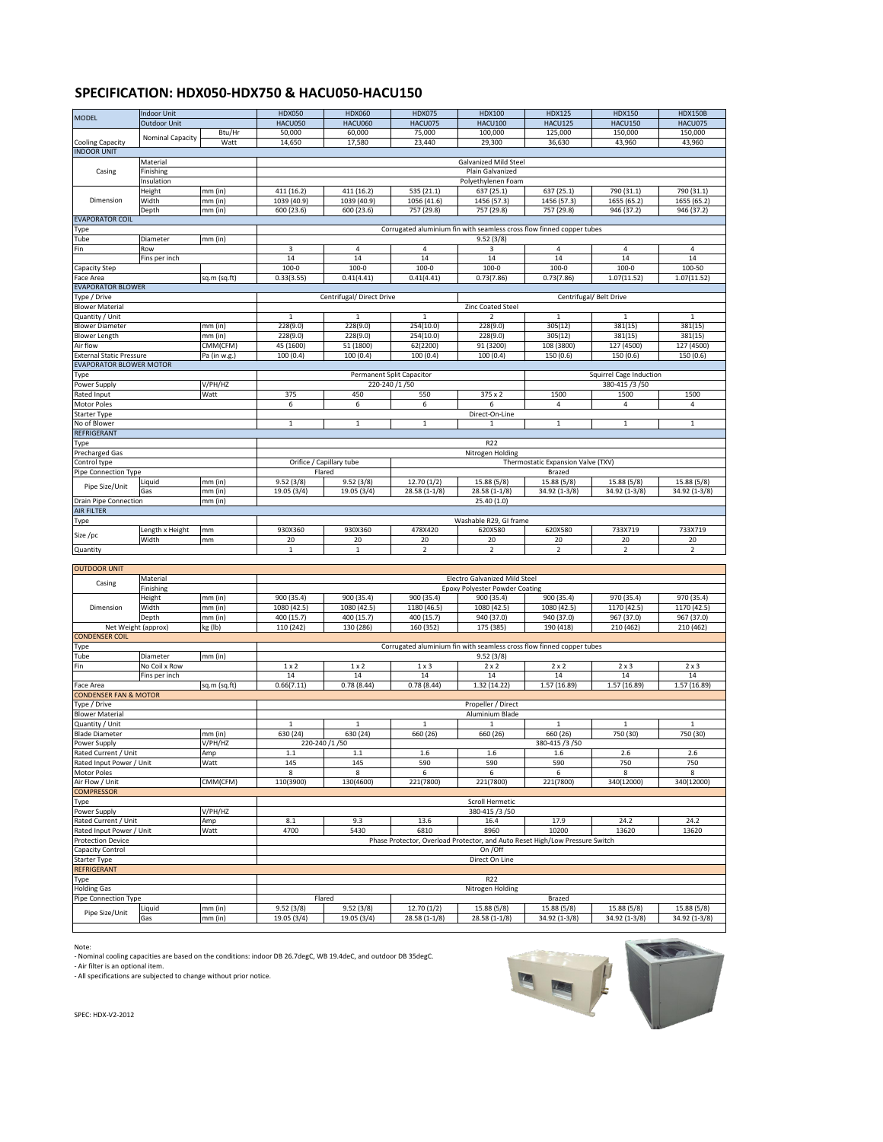## **SPECIFICATION: HDX050-HDX750 & HACU050-HACU150**

|                                                 | <b>Indoor Unit</b>      |                    | <b>HDX050</b>            | HDX060                                 | <b>HDX075</b>                | <b>HDX100</b>                                                                | <b>HDX125</b>                      | <b>HDX150</b>                  | <b>HDX150B</b>               |  |
|-------------------------------------------------|-------------------------|--------------------|--------------------------|----------------------------------------|------------------------------|------------------------------------------------------------------------------|------------------------------------|--------------------------------|------------------------------|--|
| <b>MODEL</b>                                    | <b>Outdoor Unit</b>     |                    | HACU050                  | <b>HACU060</b>                         | HACU075                      | <b>HACU100</b>                                                               | <b>HACU125</b>                     | <b>HACU150</b>                 | HACU075                      |  |
|                                                 |                         | Btu/Hr             | 50,000                   | 60,000                                 | 75,000                       | 100,000                                                                      | 125,000                            | 150,000                        | 150,000                      |  |
|                                                 | <b>Nominal Capacity</b> |                    |                          |                                        |                              |                                                                              |                                    |                                |                              |  |
| <b>Cooling Capacity</b>                         |                         | Watt               | 14,650                   | 17,580                                 | 23,440                       | 29,300                                                                       | 36,630                             | 43,960                         | 43,960                       |  |
| <b>INDOOR UNIT</b>                              |                         |                    |                          |                                        |                              |                                                                              |                                    |                                |                              |  |
|                                                 | Material                |                    |                          |                                        |                              | <b>Galvanized Mild Steel</b>                                                 |                                    |                                |                              |  |
| Casing                                          | Finishing               |                    | Plain Galvanized         |                                        |                              |                                                                              |                                    |                                |                              |  |
|                                                 |                         |                    |                          |                                        |                              |                                                                              |                                    |                                |                              |  |
|                                                 | Insulation              |                    |                          |                                        |                              | Polyethylenen Foam                                                           |                                    |                                |                              |  |
|                                                 | Height                  | mm (in)            | 411 (16.2)               | 411(16.2)                              | 535 (21.1)                   | 637 (25.1)                                                                   | 637 (25.1)                         | 790 (31.1)                     | 790 (31.1)                   |  |
| Dimension                                       | Width                   | mm (in)            | 1039 (40.9)              | 1039 (40.9)                            | 1056 (41.6)                  | 1456 (57.3)                                                                  | 1456 (57.3)                        | 1655 (65.2)                    | 1655 (65.2)                  |  |
|                                                 |                         |                    |                          |                                        |                              |                                                                              |                                    |                                |                              |  |
|                                                 | Depth                   | mm (in)            | 600 (23.6)               | 600 (23.6)                             | 757 (29.8)                   | 757 (29.8)                                                                   | 757 (29.8)                         | 946 (37.2)                     | 946 (37.2)                   |  |
| <b>EVAPORATOR COIL</b>                          |                         |                    |                          |                                        |                              |                                                                              |                                    |                                |                              |  |
| Type                                            |                         |                    |                          |                                        |                              | Corrugated aluminium fin with seamless cross flow finned copper tubes        |                                    |                                |                              |  |
| Tube                                            | Diameter                | $mm$ (in)          |                          |                                        |                              | 9.52(3/8)                                                                    |                                    |                                |                              |  |
|                                                 |                         |                    |                          |                                        |                              |                                                                              |                                    |                                |                              |  |
| Fin                                             | Row                     |                    | 3                        | 4                                      | 4                            | 3                                                                            | 4                                  | $\overline{4}$                 | 4                            |  |
|                                                 | Fins per inch           |                    | $\overline{14}$          | 14                                     | 14                           | 14                                                                           | 14                                 | 14                             | 14                           |  |
| <b>Capacity Step</b>                            |                         |                    | $100 - 0$                | $100 - 0$                              | $100 - 0$                    | $100 - 0$                                                                    | $100 - 0$                          | $100 - 0$                      | 100-50                       |  |
|                                                 |                         |                    |                          |                                        |                              |                                                                              | 0.73(7.86)                         | 1.07(11.52)                    | 1.07(11.52)                  |  |
| Face Area                                       |                         | sq.m (sq.ft)       | 0.33(3.55)               | 0.41(4.41)                             | 0.41(4.41)                   | 0.73(7.86)                                                                   |                                    |                                |                              |  |
| <b>EVAPORATOR BLOWER</b>                        |                         |                    |                          |                                        |                              |                                                                              |                                    |                                |                              |  |
| Type / Drive                                    |                         |                    |                          | Centrifugal/ Direct Drive              |                              |                                                                              |                                    | Centrifugal/ Belt Drive        |                              |  |
| <b>Blower Material</b>                          |                         |                    |                          |                                        |                              | <b>Zinc Coated Steel</b>                                                     |                                    |                                |                              |  |
|                                                 |                         |                    |                          |                                        |                              |                                                                              |                                    |                                |                              |  |
| Quantity / Unit                                 |                         |                    | 1                        | $\mathbf{1}$                           | 1                            | $\overline{2}$                                                               | 1                                  | $\mathbf{1}$                   | 1                            |  |
| <b>Blower Diameter</b>                          |                         | mm (in)            | 228(9.0)                 | 228(9.0)                               | 254(10.0)                    | 228(9.0)                                                                     | 305(12)                            | 381(15)                        | 381(15)                      |  |
| <b>Blower Length</b>                            |                         | mm (in)            | 228(9.0)                 | 228(9.0)                               | 254(10.0)                    | 228(9.0)                                                                     | 305(12)                            | 381(15)                        | 381(15)                      |  |
|                                                 |                         |                    | 45 (1600)                | 51 (1800)                              |                              | 91 (3200)                                                                    |                                    | 127 (4500)                     | 127 (4500)                   |  |
| Air flow<br>CMM(CFM)                            |                         |                    |                          | 62(2200)                               |                              | 108 (3800)                                                                   |                                    |                                |                              |  |
| <b>External Static Pressure</b><br>Pa (in w.g.) |                         | 100(0.4)           | 100(0.4)                 | 100(0.4)                               | 100(0.4)                     | 150 (0.6)                                                                    | 150 (0.6)                          | 150 (0.6)                      |                              |  |
| <b>EVAPORATOR BLOWER MOTOR</b>                  |                         |                    |                          |                                        |                              |                                                                              |                                    |                                |                              |  |
| Type                                            |                         |                    |                          | <b>Permanent Split Capacitor</b>       |                              |                                                                              |                                    | <b>Squirrel Cage Induction</b> |                              |  |
|                                                 |                         |                    |                          |                                        |                              |                                                                              |                                    |                                |                              |  |
| Power Supply                                    |                         | V/PH/HZ            |                          | 220-240 /1 /50                         |                              |                                                                              |                                    | 380-415 /3 /50                 |                              |  |
| Rated Input                                     |                         | Watt               | 375                      | 450                                    | 550                          | 375 x 2                                                                      | 1500                               | 1500                           | 1500                         |  |
| Motor Poles                                     |                         |                    | 6                        | 6                                      | 6                            | 6                                                                            | 4                                  | 4                              | 4                            |  |
|                                                 |                         |                    |                          |                                        |                              |                                                                              |                                    |                                |                              |  |
| <b>Starter Type</b>                             |                         |                    |                          |                                        |                              | Direct-On-Line                                                               |                                    |                                |                              |  |
| No of Blower                                    |                         |                    | $\mathbf{1}$             | $\mathbf{1}$                           | 1                            | $\mathbf{1}$                                                                 | 1                                  | $\mathbf{1}$                   | $\mathbf{1}$                 |  |
| <b>REFRIGERANT</b>                              |                         |                    |                          |                                        |                              |                                                                              |                                    |                                |                              |  |
|                                                 |                         |                    |                          |                                        |                              |                                                                              |                                    |                                |                              |  |
| Type                                            |                         |                    |                          |                                        |                              | R22                                                                          |                                    |                                |                              |  |
| <b>Precharged Gas</b>                           |                         |                    |                          |                                        |                              | Nitrogen Holding                                                             |                                    |                                |                              |  |
| Control type                                    |                         |                    | Orifice / Capillary tube |                                        |                              |                                                                              | Thermostatic Expansion Valve (TXV) |                                |                              |  |
|                                                 |                         |                    |                          |                                        |                              |                                                                              |                                    |                                |                              |  |
| Pipe Connection Type                            |                         |                    | Flared                   |                                        |                              |                                                                              | <b>Brazed</b>                      |                                |                              |  |
|                                                 | Liquid                  | $mm$ (in)          | 9.52(3/8)                | 9.52(3/8)                              | 12.70(1/2)                   | 15.88 (5/8)                                                                  | 15.88 (5/8)                        | 15.88 (5/8)                    | 15.88 (5/8)                  |  |
| Pipe Size/Unit                                  | Gas                     | $mm$ (in)          | 19.05 (3/4)              | 19.05 (3/4)                            | 28.58 (1-1/8)                | $28.58(1-1/8)$                                                               | 34.92 (1-3/8)                      | 34.92 (1-3/8)                  | 34.92 (1-3/8)                |  |
|                                                 |                         |                    |                          |                                        |                              |                                                                              |                                    |                                |                              |  |
| Drain Pipe Connection                           |                         | $mm$ (in)          |                          |                                        |                              | 25.40(1.0)                                                                   |                                    |                                |                              |  |
| <b>AIR FILTER</b>                               |                         |                    |                          |                                        |                              |                                                                              |                                    |                                |                              |  |
| Type                                            |                         |                    |                          |                                        |                              | Washable R29, GI frame                                                       |                                    |                                |                              |  |
|                                                 |                         |                    |                          |                                        |                              |                                                                              |                                    |                                |                              |  |
|                                                 |                         |                    |                          |                                        |                              |                                                                              |                                    |                                |                              |  |
|                                                 | Length x Height         | mm                 | 930X360                  | 930X360                                | 478X420                      | 620X580                                                                      | 620X580                            | 733X719                        | 733X719                      |  |
| Size /pc                                        | Width                   | mm                 | 20                       | 20                                     | 20                           | 20                                                                           | 20                                 | 20                             | 20                           |  |
| Quantity                                        |                         |                    | $\mathbf{1}$             | $\mathbf{1}$                           | $\overline{2}$               | $\overline{2}$                                                               | $\overline{2}$                     | $\overline{2}$                 | $2^{\circ}$                  |  |
|                                                 |                         |                    |                          |                                        |                              |                                                                              |                                    |                                |                              |  |
|                                                 |                         |                    |                          |                                        |                              |                                                                              |                                    |                                |                              |  |
| <b>OUTDOOR UNIT</b>                             |                         |                    |                          |                                        |                              |                                                                              |                                    |                                |                              |  |
|                                                 | Material                |                    |                          |                                        |                              | Electro Galvanized Mild Steel                                                |                                    |                                |                              |  |
| Casing                                          |                         |                    |                          |                                        |                              |                                                                              |                                    |                                |                              |  |
|                                                 | Finishing               |                    |                          |                                        |                              | <b>Epoxy Polyester Powder Coating</b>                                        |                                    |                                |                              |  |
|                                                 | Height                  | mm (in)            | 900 (35.4)               | 900 (35.4)                             | 900 (35.4)                   | 900 (35.4)                                                                   | $\overline{900}$ (35.4)            | 970 (35.4)                     | 970 (35.4)                   |  |
| Dimension                                       | Width                   | $mm$ (in)          | 1080 (42.5)              | 1080 (42.5)                            | 1180 (46.5)                  | 1080 (42.5)                                                                  | 1080 (42.5)                        | 1170 (42.5)                    | 1170 (42.5)                  |  |
|                                                 | Depth                   | mm (in)            | 400 (15.7)               | 400(15.7)                              | 400 (15.7)                   | 940 (37.0)                                                                   | 940 (37.0)                         | 967 (37.0)                     | 967 (37.0)                   |  |
|                                                 |                         |                    |                          |                                        |                              |                                                                              |                                    |                                |                              |  |
| Net Weight (approx)                             |                         | kg (lb)            | 110 (242)                | 130 (286)                              | 160 (352)                    | 175 (385)                                                                    | 190 (418)                          | 210 (462)                      | 210 (462)                    |  |
| <b>CONDENSER COIL</b>                           |                         |                    |                          |                                        |                              |                                                                              |                                    |                                |                              |  |
| Type                                            |                         |                    |                          |                                        |                              | Corrugated aluminium fin with seamless cross flow finned copper tubes        |                                    |                                |                              |  |
| Tube                                            | Diameter                | $mm$ (in)          |                          |                                        |                              | 9.52(3/8)                                                                    |                                    |                                |                              |  |
|                                                 |                         |                    |                          |                                        |                              |                                                                              |                                    |                                |                              |  |
| Fin                                             | No Coil x Row           |                    | $1 \times 2$             | $1 \times 2$                           | $1 \times 3$                 | $2 \times 2$                                                                 | $2 \times 2$                       | $2 \times 3$                   | $2 \times 3$                 |  |
|                                                 | Fins per inch           |                    | $\overline{14}$          | $\overline{14}$                        | $\overline{14}$              | $\overline{14}$                                                              | $\overline{14}$                    | $\overline{14}$                | $\overline{14}$              |  |
| Face Area                                       |                         | sq.m (sq.ft)       | 0.66(7.11)               | 0.78(8.44)                             | 0.78(8.44)                   | 1.32 (14.22)                                                                 | 1.57 (16.89)                       | 1.57 (16.89)                   | 1.57 (16.89)                 |  |
| <b>CONDENSER FAN &amp; MOTOR</b>                |                         |                    |                          |                                        |                              |                                                                              |                                    |                                |                              |  |
|                                                 |                         |                    |                          |                                        |                              |                                                                              |                                    |                                |                              |  |
| Type / Drive                                    |                         |                    |                          |                                        |                              | Propeller / Direct                                                           |                                    |                                |                              |  |
| <b>Blower Material</b>                          |                         |                    |                          |                                        |                              | Aluminium Blade                                                              |                                    |                                |                              |  |
| Quantity / Unit                                 |                         |                    | $\mathbf{1}$             | $\mathbf{1}$                           | $\mathbf{1}$                 | $\mathbf{1}$                                                                 | $\mathbf{1}$                       | $\mathbf{1}$                   | $\mathbf{1}$                 |  |
| <b>Blade Diameter</b>                           |                         |                    |                          | 630 (24)                               |                              | 660 (26)                                                                     |                                    |                                |                              |  |
|                                                 |                         | mm (in)            | 630 (24)                 |                                        | 660 (26)                     |                                                                              | 660 (26)                           | 750 (30)                       | 750 (30)                     |  |
| Power Supply                                    |                         | V/PH/HZ            | 220-240 /1 /50           |                                        |                              |                                                                              | 380-415 /3 /50                     |                                |                              |  |
| Rated Current / Unit                            |                         | Amp                | 1.1                      | 1.1                                    | 1.6                          | 1.6                                                                          | 1.6                                | 2.6                            | 2.6                          |  |
| Rated Input Power / Unit                        |                         | Watt               | 145                      | 145                                    | 590                          | 590                                                                          | 590                                | 750                            | 750                          |  |
|                                                 |                         |                    | 8                        | 8                                      |                              | 6                                                                            | 6                                  | 8                              | 8                            |  |
| <b>Motor Poles</b>                              |                         |                    |                          |                                        | 6                            |                                                                              |                                    |                                |                              |  |
| Air Flow / Unit                                 |                         | CMM(CFM)           | 110(3900)                | 130(4600)                              | 221(7800)                    | 221(7800)                                                                    | 221(7800)                          | 340(12000)                     | 340(12000)                   |  |
| <b>COMPRESSOR</b>                               |                         |                    |                          |                                        |                              |                                                                              |                                    |                                |                              |  |
|                                                 |                         |                    |                          |                                        |                              | Scroll Hermetic                                                              |                                    |                                |                              |  |
| <b>Type</b>                                     |                         |                    |                          |                                        |                              |                                                                              |                                    |                                |                              |  |
| Power Supply                                    |                         | V/PH/HZ            |                          |                                        |                              | 380-415 /3 /50                                                               |                                    |                                |                              |  |
| Rated Current / Unit                            |                         | Amp                | 8.1                      | 9.3                                    | 13.6                         | 16.4                                                                         | 17.9                               | 24.2                           | 24.2                         |  |
| Rated Input Power / Unit                        |                         | Watt               | 4700                     | 5430                                   | 6810                         | 8960                                                                         | 10200                              | 13620                          | 13620                        |  |
|                                                 |                         |                    |                          |                                        |                              |                                                                              |                                    |                                |                              |  |
| <b>Protection Device</b>                        |                         |                    |                          |                                        |                              | Phase Protector, Overload Protector, and Auto Reset High/Low Pressure Switch |                                    |                                |                              |  |
| <b>Capacity Control</b>                         |                         |                    |                          |                                        |                              | On / Off                                                                     |                                    |                                |                              |  |
| <b>Starter Type</b>                             |                         |                    |                          |                                        |                              | Direct On Line                                                               |                                    |                                |                              |  |
| <b>REFRIGERANT</b>                              |                         |                    |                          |                                        |                              |                                                                              |                                    |                                |                              |  |
|                                                 |                         |                    |                          |                                        |                              |                                                                              |                                    |                                |                              |  |
| Type                                            |                         |                    |                          |                                        |                              | R22                                                                          |                                    |                                |                              |  |
| <b>Holding Gas</b>                              |                         |                    |                          |                                        |                              | Nitrogen Holding                                                             |                                    |                                |                              |  |
| Pipe Connection Type                            |                         |                    | Flared                   |                                        |                              |                                                                              | Brazed                             |                                |                              |  |
|                                                 |                         |                    |                          |                                        |                              |                                                                              |                                    |                                |                              |  |
| Pipe Size/Unit                                  | Liquid<br>Gas           | mm (in)<br>mm (in) | 9.52(3/8)<br>19.05 (3/4) | $\overline{9.52}$ (3/8)<br>19.05 (3/4) | 12.70(1/2)<br>$28.58(1-1/8)$ | 15.88 (5/8)<br>$28.58(1-1/8)$                                                | 15.88 (5/8)<br>34.92 (1-3/8)       | 15.88 (5/8)<br>34.92 (1-3/8)   | 15.88 (5/8)<br>34.92 (1-3/8) |  |

Note:

- Nominal cooling capacities are based on the conditions: indoor DB 26.7degC, WB 19.4deC, and outdoor DB 35degC.

- Air filter is an optional item.

- All specifications are subjected to change without prior notice.

SPEC: HDX-V2-2012